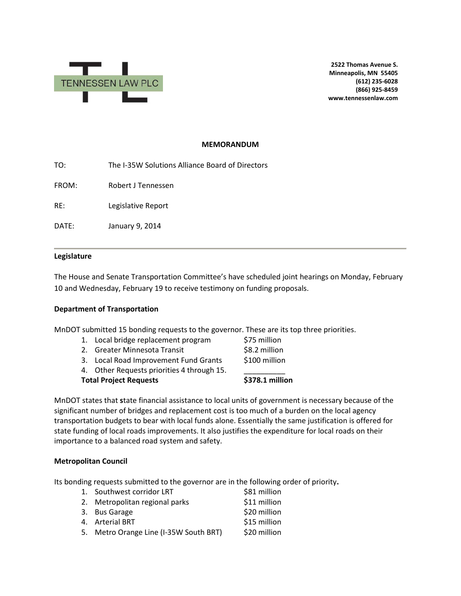

**2522 Thomas Avenue S. Minneapolis, MN 55405 (612) 235-6028 (866) 925-8459 www.tennessenlaw.com**

#### **MEMORANDUM**

TO: The I-35W Solutions Alliance Board of Directors

FROM: Robert J Tennessen

RE: Legislative Report

DATE: January 9, 2014

### **Legislature**

The House and Senate Transportation Committee's have scheduled joint hearings on Monday, February 10 and Wednesday, February 19 to receive testimony on funding proposals.

### **Department of Transportation**

MnDOT submitted 15 bonding requests to the governor. These are its top three priorities.

- 1. Local bridge replacement program \$75 million
- 2. Greater Minnesota Transit 68.2 million
- 3. Local Road Improvement Fund Grants \$100 million
- 4. Other Requests priorities 4 through 15.

**Total Project Requests \$378.1 million**

MnDOT states that **s**tate financial assistance to local units of government is necessary because of the significant number of bridges and replacement cost is too much of a burden on the local agency transportation budgets to bear with local funds alone. Essentially the same justification is offered for state funding of local roads improvements. It also justifies the expenditure for local roads on their importance to a balanced road system and safety.

### **Metropolitan Council**

Its bonding requests submitted to the governor are in the following order of priority**.**

| 1. Southwest corridor LRT              | \$81 million |
|----------------------------------------|--------------|
| 2. Metropolitan regional parks         | \$11 million |
| 3. Bus Garage                          | \$20 million |
| 4. Arterial BRT                        | \$15 million |
| 5. Metro Orange Line (I-35W South BRT) | \$20 million |
|                                        |              |